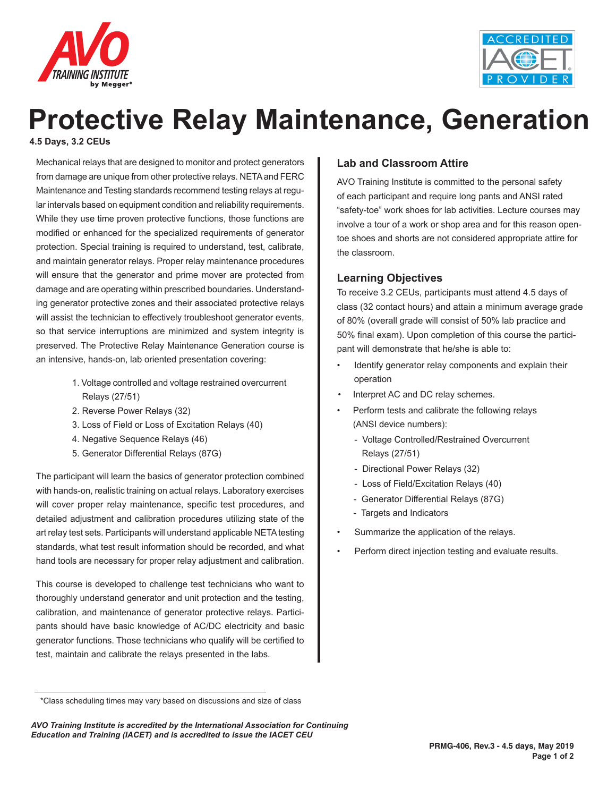



# **Protective Relay Maintenance, Generation**

**4.5 Days, 3.2 CEUs**

Mechanical relays that are designed to monitor and protect generators from damage are unique from other protective relays. NETA and FERC Maintenance and Testing standards recommend testing relays at regular intervals based on equipment condition and reliability requirements. While they use time proven protective functions, those functions are modified or enhanced for the specialized requirements of generator protection. Special training is required to understand, test, calibrate, and maintain generator relays. Proper relay maintenance procedures will ensure that the generator and prime mover are protected from damage and are operating within prescribed boundaries. Understanding generator protective zones and their associated protective relays will assist the technician to effectively troubleshoot generator events, so that service interruptions are minimized and system integrity is preserved. The Protective Relay Maintenance Generation course is an intensive, hands-on, lab oriented presentation covering:

- 1. Voltage controlled and voltage restrained overcurrent Relays (27/51)
- 2. Reverse Power Relays (32)
- 3. Loss of Field or Loss of Excitation Relays (40)
- 4. Negative Sequence Relays (46)
- 5. Generator Differential Relays (87G)

The participant will learn the basics of generator protection combined with hands-on, realistic training on actual relays. Laboratory exercises will cover proper relay maintenance, specific test procedures, and detailed adjustment and calibration procedures utilizing state of the art relay test sets. Participants will understand applicable NETA testing standards, what test result information should be recorded, and what hand tools are necessary for proper relay adjustment and calibration.

This course is developed to challenge test technicians who want to thoroughly understand generator and unit protection and the testing, calibration, and maintenance of generator protective relays. Participants should have basic knowledge of AC/DC electricity and basic generator functions. Those technicians who qualify will be certified to test, maintain and calibrate the relays presented in the labs.

## **Lab and Classroom Attire**

AVO Training Institute is committed to the personal safety of each participant and require long pants and ANSI rated "safety-toe" work shoes for lab activities. Lecture courses may involve a tour of a work or shop area and for this reason opentoe shoes and shorts are not considered appropriate attire for the classroom.

## **Learning Objectives**

To receive 3.2 CEUs, participants must attend 4.5 days of class (32 contact hours) and attain a minimum average grade of 80% (overall grade will consist of 50% lab practice and 50% final exam). Upon completion of this course the participant will demonstrate that he/she is able to:

- Identify generator relay components and explain their operation
- Interpret AC and DC relay schemes.
- Perform tests and calibrate the following relays (ANSI device numbers):
	- Voltage Controlled/Restrained Overcurrent Relays (27/51)
	- Directional Power Relays (32)
	- Loss of Field/Excitation Relays (40)
	- Generator Differential Relays (87G)
	- Targets and Indicators
- Summarize the application of the relays.
- Perform direct injection testing and evaluate results.

<sup>\*</sup>Class scheduling times may vary based on discussions and size of class